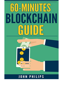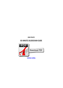*JOHN PHILIPS*

## **60-MINUTES BLOCKCHAIN GUIDE**

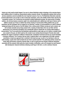Analyze just what would certainly happen if we were to release blockchain modern technology at the sovereign degree and in addition utilize it to build up a decentralized cashless economic climate. This publication solutions these worries, and also evaluations several of probably the most important concerns of our era. The Blockchain Alternative materials practical adjustments to out-of-date as well as inaccurate convictions, such as the reliable markets theory and also fair assumptions concept. You'll furthermore be presented to global fundamental earnings, the repercussions of heading cashless, why intricacy business economics ought to be comprehended and in addition just what type of devices and in addition concepts you'll have to redefine the existing meaning of commercialism.While guideline does go over innovations and also techniques that are topped for our upcoming, a number of recommendations are made to financial background along with the careers of terrific thinkers from a various period. Without carrying out such a venture, one will certainly constantly end up being strained with a meaning of industrialism that runs out kilter with the advancement of our electronic humankind. Extra considerably would we should alter our existing understanding of commercialism? You'll see exactly how the blockchain could possibly be made make use of of release a remedies which were created in the past, yet which could are the remedy to your existing financial despairs.Precisely what would definitely this suggest to financial in addition to financial plan, marketplace framework and also our present knowledge of business economics? You'll uncover that just what is required today is not an adjustment of the older concepts, nevertheless a brand-new approach that is matched to the brand-new age. As well as if we had been to alter our understandings, exactly what would certainly the near future variation look like? This publication clarifies exactly how money along with business economics function today, as well as exactly how the merging of different innovations associated with the economic field could aid us locate remedies to difficulties, such as for example too much financial debt development, financial institutions obtaining aswell huge to fall short, as well as darkness financial.



[continue reading](http://bit.ly/2Tge8Fv)